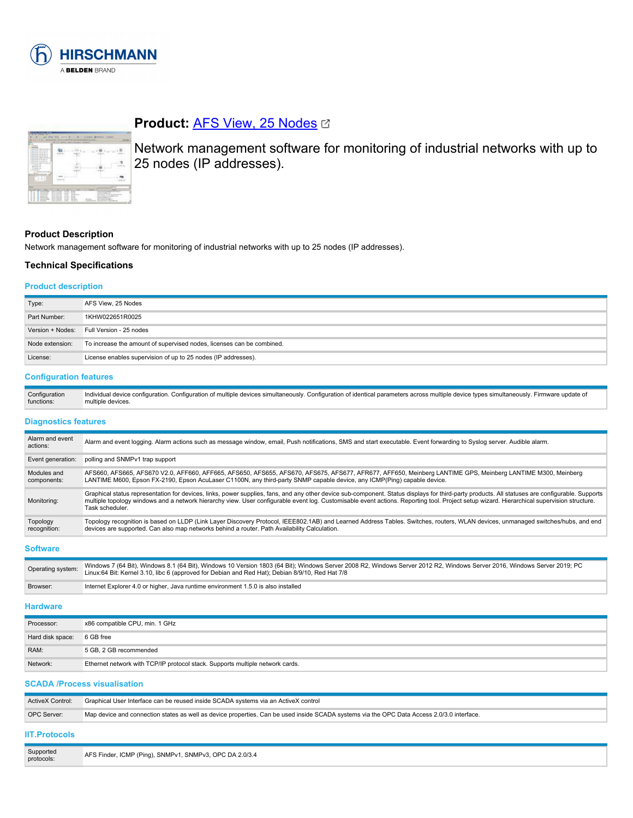

| <b>State State</b><br><b>COMMERCIAL</b><br>in The two man is deliver to the state.<br>At The Alle with a state that address are<br>a fu to security series.<br>A The this sub-translation of the aid<br>a Summarina no a<br>at The Architect Miller with the |  |  |
|--------------------------------------------------------------------------------------------------------------------------------------------------------------------------------------------------------------------------------------------------------------|--|--|
| A To Museum of Africa.<br>A Suite and a more and a<br>At No. 44 years and a state of the state of<br>College and the<br><b>BUILDING</b><br><b><i><u>A de de cal</u></i></b><br>1.4.4641                                                                      |  |  |
| <b>All Services</b><br>$\overline{a}$                                                                                                                                                                                                                        |  |  |

# **Product: [AFS View, 25 Nodes](https://catalog.belden.com/index.cfm?event=pd&p=PF_942061025&tab=downloads) &**

Network management software for monitoring of industrial networks with up to 25 nodes (IP addresses).

### **Product Description**

Network management software for monitoring of industrial networks with up to 25 nodes (IP addresses).

# **Technical Specifications**

#### **Product description**

| Type:            | AFS View, 25 Nodes                                                    |
|------------------|-----------------------------------------------------------------------|
| Part Number:     | 1KHW022651R0025                                                       |
| Version + Nodes: | Full Version - 25 nodes                                               |
| Node extension:  | To increase the amount of supervised nodes, licenses can be combined. |
| License:         | License enables supervision of up to 25 nodes (IP addresses).         |

# **Configuration features**

| Configuration | n. Configuration of multiple devices simultaneously. Configuration of identical parameters across multiple device types simultaneously.<br>∵ Firmware update or<br>Individual device configuration. C |
|---------------|-------------------------------------------------------------------------------------------------------------------------------------------------------------------------------------------------------|
| functions:    | multiple devices.                                                                                                                                                                                     |

#### **Diagnostics features**

| Alarm and event<br>actions: | Alarm and event logging. Alarm actions such as message window, email, Push notifications, SMS and start executable. Event forwarding to Syslog server. Audible alarm.                                                                                                                                                                                                                                            |
|-----------------------------|------------------------------------------------------------------------------------------------------------------------------------------------------------------------------------------------------------------------------------------------------------------------------------------------------------------------------------------------------------------------------------------------------------------|
| Event generation:           | polling and SNMPv1 trap support                                                                                                                                                                                                                                                                                                                                                                                  |
| Modules and<br>components:  | AFS660, AFS665, AFS670 V2.0, AFF660, AFF665, AFS650, AFS655, AFS670, AFS675, AFS677, AFR677, AFF650, Meinberg LANTIME GPS, Meinberg LANTIME M300, Meinberg<br>LANTIME M600, Epson FX-2190, Epson AcuLaser C1100N, any third-party SNMP capable device, any ICMP(Ping) capable device.                                                                                                                            |
| Monitoring:                 | Graphical status representation for devices, links, power supplies, fans, and any other device sub-component. Status displays for third-party products. All statuses are configurable. Supports<br>multiple topology windows and a network hierarchy view. User configurable event log. Customisable event actions. Reporting tool. Project setup wizard. Hierarchical supervision structure.<br>Task scheduler. |
| Topology<br>recognition:    | Topology recognition is based on LLDP (Link Layer Discovery Protocol, IEEE802.1AB) and Learned Address Tables. Switches, routers, WLAN devices, unmanaged switches/hubs, and end<br>devices are supported. Can also map networks behind a router. Path Availability Calculation.                                                                                                                                 |

#### **Software**

| Operating system: | Windows 7 (64 Bit), Windows 8.1 (64 Bit), Windows 10 Version 1803 (64 Bit); Windows Server 2008 R2, Windows Server 2012 R2, Windows Server 2016, Windows Server 2019; PC<br>Linux:64 Bit: Kernel 3.10, libc 6 (approved for Debian and Red Hat); Debian 8/9/10, Red Hat 7/8 |
|-------------------|-----------------------------------------------------------------------------------------------------------------------------------------------------------------------------------------------------------------------------------------------------------------------------|
| Browser:          | Internet Explorer 4.0 or higher, Java runtime environment 1.5.0 is also installed                                                                                                                                                                                           |

#### **Hardware**

| Processor:       | x86 compatible CPU, min. 1 GHz                                                |
|------------------|-------------------------------------------------------------------------------|
| Hard disk space: | 6 GB free                                                                     |
| RAM:             | 5 GB, 2 GB recommended                                                        |
| Network:         | Ethernet network with TCP/IP protocol stack. Supports multiple network cards. |

#### **SCADA /Process visualisation**

| ActiveX Control: | Graphical User Interface can be reused inside SCADA systems via an ActiveX control                                                         |
|------------------|--------------------------------------------------------------------------------------------------------------------------------------------|
| OPC Server:      | Map device and connection states as well as device properties. Can be used inside SCADA systems via the OPC Data Access 2.0/3.0 interface. |
|                  |                                                                                                                                            |

# **IIT.Protocols**

| Supported<br>protocols: | AFS Finder, ICMP (Ping), SNMPv1, SNMPv3, OPC DA 2.0/3.4 |
|-------------------------|---------------------------------------------------------|
|-------------------------|---------------------------------------------------------|